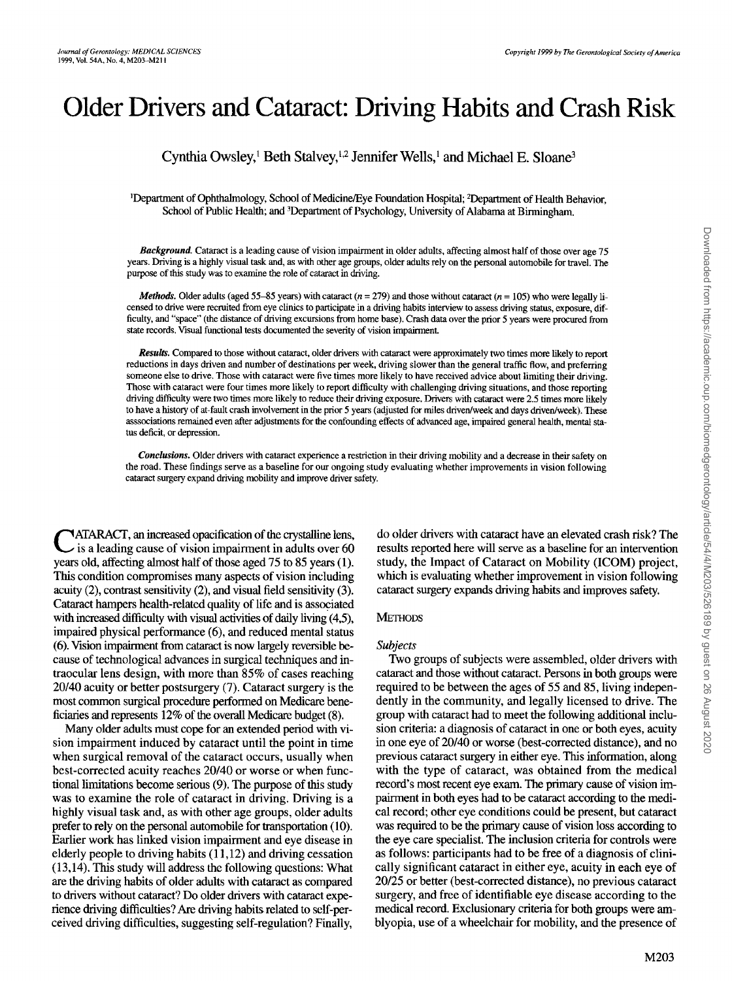# **Older Drivers and Cataract: Driving Habits and Crash Risk**

# Cynthia Owsley,<sup>1</sup> Beth Stalvey,<sup>1,2</sup> Jennifer Wells,<sup>1</sup> and Michael E. Sloane<sup>3</sup>

'Department of Ophthalmology, School of Medicine/Eye Foundation Hospital; <sup>2</sup>Department of Health Behavior, School of Public Health; and 3Department of Psychology, University of Alabama at Birmingham.

*Background.* Cataract is a leading cause of vision impairment in older adults, affectingalmost half of those over age 75 years. Driving is a highly visual task and, as with other age groups, older adults rely on the personal automobile for travel. The purpose of this study was to examine the role of cataract in driving.

*Methods.* Older adults (aged 55-85 years) with cataract  $(n = 279)$  and those without cataract  $(n = 105)$  who were legally licensed to drive were recruited from eye clinics to participate in a driving habits interview to assess driving status, exposure, difficulty, and "space" (the distance of driving excursions from home base). Crash data over the prior 5 years were procured from state records. Visual functional tests documented the severity of vision impairment.

Results. Compared to those without cataract, older drivers with cataract were approximately two times more likely to report reductions in days driven and number of destinations per week, driving slower than the general traffic flow, and preferring someone else to drive. Those with cataract were five times more likely to have received advice about limiting their driving. Those with cataract were four times more likely to report difficulty with challenging driving situations, and those reporting driving difficulty were two times more likely to reduce their driving exposure. Drivers with cataract were 2.5 times more likely to have a history of at-fault crash involvement in the prior 5 years (adjusted for miles driven/week and days driven/week). These asssociations remained even after adjustments for the confounding effects of advanced age, impaired general health, mental status deficit, or depression.

*Conclusions*. Older drivers with cataract experience a restriction in their driving mobility and a decrease in their safety on the road. These findings serve as a baseline for our ongoing study evaluating whether improvements in vision following cataract surgery expand driving mobility and improve driver safety.

**TATARACT, an increased opacification of the crystalline lens,** is a leading cause of vision impairment in adults over 60 years old, affecting almost half of those aged 75 to 85 years (1). This condition compromises many aspects of vision including acuity (2), contrast sensitivity (2), and visual field sensitivity (3). Cataract hampers health-related quality of life and is associated with increased difficulty with visual activities of daily living  $(4,5)$ , impaired physical performance (6), and reduced mental status (6).Vision impairment from cataract is now largely reversiblebecause of technological advances in surgical techniques and intraocular lens design, with more than 85% of cases reaching *20/40* acuity or better postsurgery (7). Cataract surgery is the most common surgical procedure performed on Medicare beneficiaries and represents 12% of the overall Medicare budget (8).

Many older adults must cope for an extended period with vision impairment induced by cataract until the point in time when surgical removal of the cataract occurs, usually when best-corrected acuity reaches *20/40* or worse or when functional limitations become serious (9). The purpose of this study was to examine the role of cataract in driving. Driving is a highly visual task and, as with other age groups, older adults prefer to rely on the personal automobile for transportation (10). Earlier work has linked vision impairment and eye disease in elderly people to driving habits (11,12) and driving cessation (13,14). This study will address the following questions: What are the driving habits of older adults with cataract as compared to drivers without cataract? Do older drivers with cataract experience driving difficulties? Are driving habits related to self-perceived driving difficulties, suggesting self-regulation? Finally,

do older drivers with cataract have an elevated crash risk? The results reported here will serve as a baseline for an intervention study, the Impact of Cataract on Mobility (ICOM) project, which is evaluating whether improvement in vision following cataract surgery expands driving habits and improves safety.

# **METHODS**

# *Subjects*

Two groups of subjects were assembled, older drivers with cataract and those without cataract. Persons in both groups were required to be between the ages of 55 and 85, living independently in the community, and legally licensed to drive. The group with cataract had to meet the following additional inclusion criteria: a diagnosis of cataract in one or both eyes, acuity in one eye of *20/40* or worse (best-corrected distance), and no previous cataract surgery in either eye. This information, along with the type of cataract, was obtained from the medical record's most recent eye exam. The primary cause of vision impairment in both eyes had to be cataract according to the medical record; other eye conditions could be present, but cataract was required to be the primary cause of vision loss according to the eye care specialist. The inclusion criteria for controls were as follows: participants had to be free of a diagnosis of clinically significant cataract in either eye, acuity in each eye of *20/25* or better (best-corrected distance), no previous cataract surgery, and free of identifiable eye disease according to the medical record. Exclusionary criteria for both groups were amblyopia, use of a wheelchair for mobility, and the presence of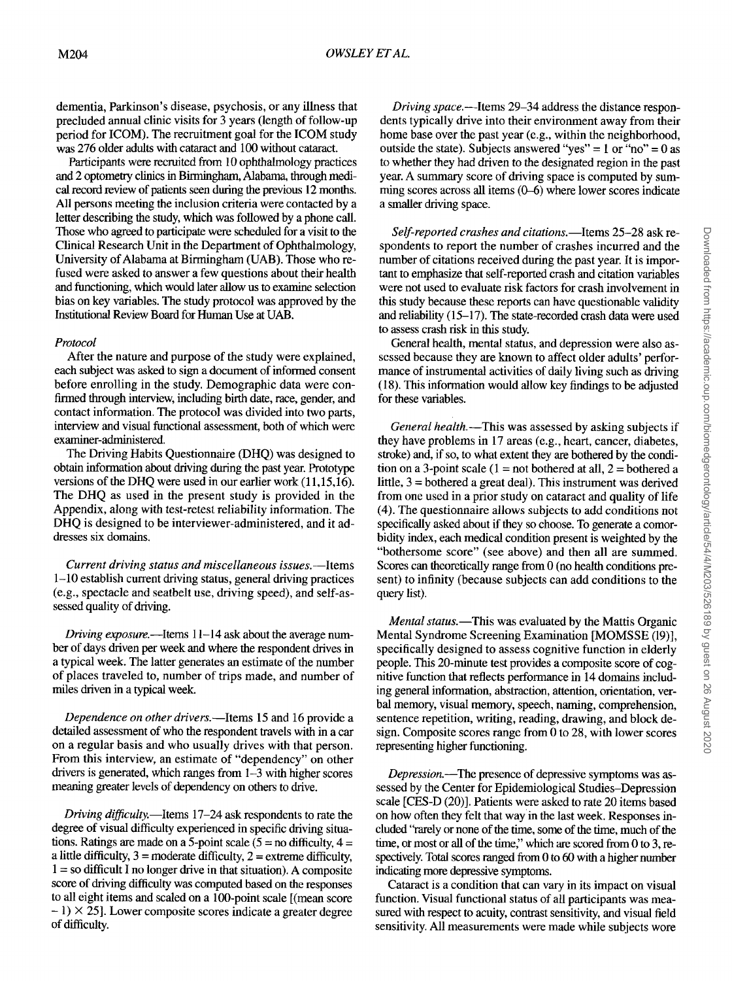dementia, Parkinson's disease, psychosis, or any illness that precluded annual clinic visits for 3 years (length of follow-up period for ICOM). The recruitment goal for the ICOM study was 276 older adults with cataract and 100 without cataract.

Participants were recruited from 10 ophthalmology practices and 2 optometry clinics in Birmingham, Alabama, through medical record review of patients seen during the previous 12 months. All persons meeting the inclusion criteria were contacted by a letter describing the study, which was followed by a phone call. Those who agreed to participate were scheduled for a visit to the Clinical Research Unit in the Department of Ophthalmology, University of Alabama at Birmingham (UAB). Those who refused were asked to answer a few questions about their health and functioning, which would later allow us to examine selection bias on key variables. The study protocol was approved by the Institutional Review Board for Human Use at UAB.

### *Protocol*

After the nature and purpose of the study were explained, each subject was asked to sign a document of informed consent before enrolling in the study. Demographic data were confirmed through interview, including birth date, race, gender, and contact information. The protocol was divided into two parts, interview and visual functional assessment, both of which were examiner-administered.

The Driving Habits Questionnaire (DHQ) was designed to obtain information about driving during the past year. Prototype versions of the DHQ were used in our earlier work (11,15,16). The DHQ as used in the present study is provided in the Appendix, along with test-retest reliability information. The DHQ is designed to be interviewer-administered, and it addresses six domains.

*Current driving status and miscellaneous issues.-Items* 1-10 establish current driving status, general driving practices (e.g., spectacle and seatbelt use, driving speed), and self-assessed quality of driving.

*Driving exposure.*—Items 11-14 ask about the average number of days driven per week and where the respondent drives in a typical week. The latter generates an estimate of the number of places traveled to, number of trips made, and number of miles driven in a typical week.

*Dependence on other drivers.*—Items 15 and 16 provide a detailed assessment of who the respondent travels with in a car on a regular basis and who usually drives with that person. From this interview, an estimate of "dependency" on other drivers is generated, which ranges from 1-3 with higher scores meaning greater levels of dependency on others to drive.

*Driving difficulty.-Items* 17-24 ask respondents to rate the degree of visual difficulty experienced in specific driving situations. Ratings are made on a 5-point scale ( $5 =$  no difficulty,  $4 =$ a little difficulty,  $3 =$  moderate difficulty,  $2 =$  extreme difficulty,  $1 =$ so difficult I no longer drive in that situation). A composite score of driving difficulty was computed based on the responses to all eight items and scaled on a 100-point scale [(mean score  $-1$ )  $\times$  25]. Lower composite scores indicate a greater degree of difficulty.

*Driving space.-Items* 29-34 address the distance respondents typically drive into their environment away from their home base over the past year (e.g., within the neighborhood, outside the state). Subjects answered "yes" =  $1$  or "no" =  $0$  as to whether they had driven to the designated region in the past year. A summary score of driving space is computed by summing scores across all items (0-6) where lower scores indicate a smaller driving space.

*Self-reported crashes and citations.-Items* 25-28 ask respondents to report the number of crashes incurred and the number of citations received during the past year. It is important to emphasize that self-reported crash and citation variables were not used to evaluate risk factors for crash involvement in this study because these reports can have questionable validity and reliability (15-17). The state-recorded crash data were used to assess crash risk in this study.

General health, mental status, and depression were also assessed because they are known to affect older adults' performance of instrumental activities of daily living such as driving (18). This information would allow key findings to be adjusted for these variables.

*General health.-*This was assessed by asking subjects if they have problems in 17 areas (e.g., heart, cancer, diabetes, stroke) and, if so, to what extent they are bothered by the condition on a 3-point scale  $(1 = not obtained at all, 2 = bothered a)$ little, 3 = bothered a great deal). This instrument was derived from one used in a prior study on cataract and quality of life (4). The questionnaire allows subjects to add conditions not specifically asked about if they so choose. To generate a comorbidity index, each medical condition present is weighted by the "bothersome score" (see above) and then all are summed. Scores can theoretically range from 0 (no health conditions present) to infinity (because subjects can add conditions to the query list).

*Mental status.*—This was evaluated by the Mattis Organic Mental Syndrome Screening Examination [MOMSSE (l9)], specifically designed to assess cognitive function in elderly people. This 20-minute test provides a composite score of cognitive function that reflects performance in 14 domains including general information, abstraction, attention, orientation, verbal memory, visual memory, speech, naming, comprehension, sentence repetition, writing, reading, drawing, and block design. Composite scores range from 0 to 28, with lower scores representing higher functioning.

*Depression.*-The presence of depressive symptoms was assessed by the Center for Epidemiological Studies-Depression scale [CES-D (20)]. Patients were asked to rate 20 items based on how often they felt that way in the last week. Responses included "rarely or none of the time, some of the time, much of the time, or most or all of the time;' which are scored from 0 to 3, respectively. Total scores ranged from  $0$  to  $60$  with a higher number indicating more depressive symptoms.

Cataract is a condition that can vary in its impact on visual function. Visual functional status of all participants was measured with respect to acuity, contrast sensitivity, and visual field sensitivity. All measurements were made while subjects wore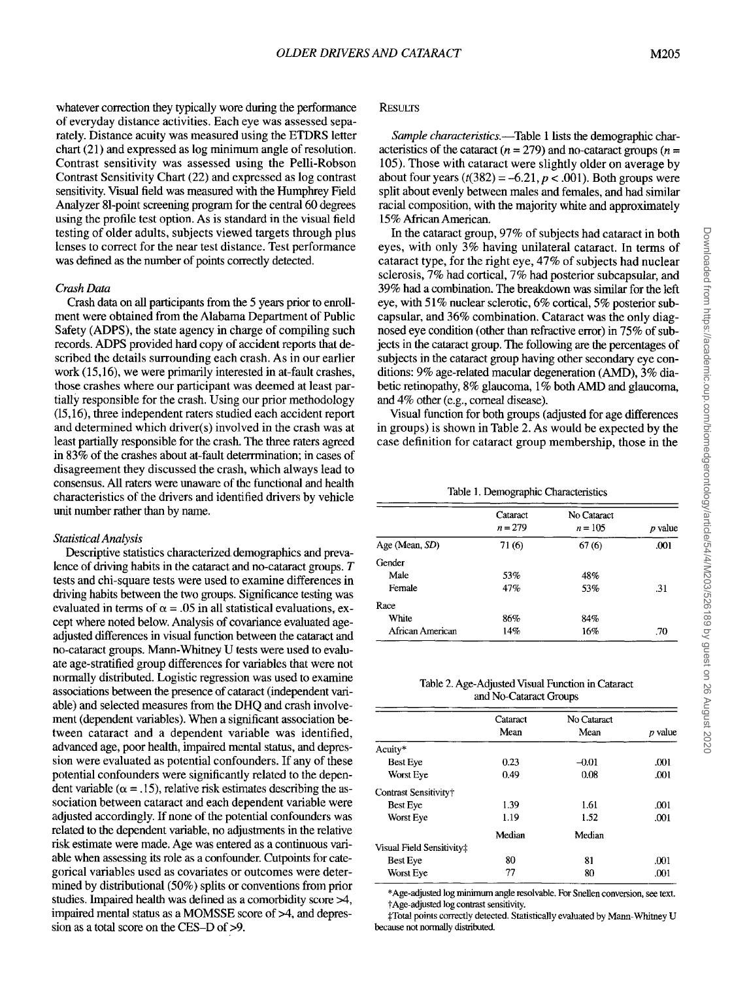whatever correction they typically wore during the performance of everyday distance activities. Each eye was assessed separately. Distance acuity was measured using the ETDRS letter chart (21) and expressed as log minimum angle of resolution. Contrast sensitivity was assessed using the Pelli-Robson Contrast Sensitivity Chart (22) and expressed as log contrast sensitivity. Visual field was measured with the Humphrey Field Analyzer Sl-point screening program for the central 60 degrees using the profile test option. As is standard in the visual field testing of older adults, subjects viewed targets through plus lenses to correct for the near test distance. Test performance was defined as the number of points correctly detected.

#### *Crash Data*

Crash data on all participants from the 5 years prior to enrollment were obtained from the Alabama Department of Public Safety (ADPS), the state agency in charge of compiling such records. ADPS provided hard copy of accident reports that described the details surrounding each crash. As in our earlier work (15,16), we were primarily interested in at-fault crashes, those crashes where our participant was deemed at least partially responsible for the crash. Using our prior methodology (15,16), three independent raters studied each accident report and determined which driver(s) involved in the crash was at least partially responsible for the crash. The three raters agreed in 83% of the crashes about at-fault deterrmination; in cases of disagreement they discussed the crash, which always lead to consensus. All raters were unaware of the functional and health characteristics of the drivers and identified drivers by vehicle unit number rather than by name.

#### *StatisticalAnalysis*

Descriptive statistics characterized demographics and prevalence of driving habits in the cataract and no-cataract groups. T tests and chi-square tests were used to examine differences in driving habits between the two groups. Significance testing was evaluated in terms of  $\alpha = .05$  in all statistical evaluations, except where noted below. Analysis of covariance evaluated ageadjusted differences in visual function between the cataract and no-cataract groups. Mann-Whitney U tests were used to evaluate age-stratified group differences for variables that were not normally distributed. Logistic regression was used to examine associations between the presence of cataract (independent variable) and selected measures from the DHQ and crash involvement (dependent variables). When a significant association between cataract and a dependent variable was identified, advanced age, poor health, impaired mental status, and depression were evaluated as potential confounders. If any of these potential confounders were significantly related to the dependent variable ( $\alpha = .15$ ), relative risk estimates describing the association between cataract and each dependent variable were adjusted accordingly. If none of the potential confounders was related to the dependent variable, no adjustments in the relative risk estimate were made. Age was entered as a continuous variable when assessing its role as a confounder. Cutpoints for categorical variables used as covariates or outcomes were determined by distributional (50%) splits or conventions from prior studies. Impaired health was defined as a comorbidity score  $\geq 4$ , impaired mental status as a MOMSSE score of >4, and depression as a total score on the CES-D of >9.

## **RESULTS**

*Sample characteristics.*—Table 1 lists the demographic characteristics of the cataract ( $n = 279$ ) and no-cataract groups ( $n =$ 105). Those with cataract were slightly older on average by about four years  $(t(382) = -6.21, p < .001)$ . Both groups were split about evenly between males and females, and had similar racial composition, with the majority white and approximately 15% African American.

In the cataract group, 97% of subjects had cataract in both eyes, with only 3% having unilateral cataract. In terms of cataract type, for the right eye, 47% of subjects had nuclear sclerosis, 7% had cortical, 7% had posterior subcapsular, and 39% had a combination. The breakdown was similar for the left eye, with 51% nuclear sclerotic, 6% cortical, 5% posterior subcapsular, and 36% combination. Cataract was the only diagnosed eye condition (other than refractive error) in 75% of subjects in the cataract group. The following are the percentages of subjects in the cataract group having other secondary eye conditions: 9% age-related macular degeneration (AMD), 3% diabetic retinopathy, 8% glaucoma, 1% both AMD and glaucoma, and 4% other (e.g., corneal disease).

Visual function for both groups (adjusted for age differences in groups) is shown in Table 2. As would be expected by the case definition for cataract group membership, those in the

Table 1.Demographic Characteristics

|                  | Cataract<br>$n = 279$ | No Cataract<br>$n = 105$ | p value |
|------------------|-----------------------|--------------------------|---------|
| Age (Mean, SD)   | 71(6)                 | 67(6)                    | .001    |
| Gender           |                       |                          |         |
| Male             | 53%                   | 48%                      |         |
| Female           | 47%                   | 53%                      | .31     |
| Race             |                       |                          |         |
| White            | 86%                   | 84%                      |         |
| African American | 14%                   | 16%                      | .70     |

#### Table 2. Age-Adjusted Visual Function in Cataract and No-Cataract Groups

|                           | Cataract | No Cataract |                |
|---------------------------|----------|-------------|----------------|
|                           | Mean     | Mean        | <i>p</i> value |
| Acuity*                   |          |             |                |
| <b>Best Eve</b>           | 0.23     | $-0.01$     | .001           |
| <b>Worst Eve</b>          | 0.49     | 0.08        | .001           |
| Contrast Sensitivity†     |          |             |                |
| <b>Best Eye</b>           | 1.39     | 1.61        | .001           |
| Worst Eve                 | 1.19     | 1.52        | .001           |
|                           | Median   | Median      |                |
| Visual Field Sensitivity‡ |          |             |                |
| <b>Best Eve</b>           | 80       | 81          | .001           |
| Worst Eye                 | 77       | 80          | .001           |

\*Age-adjusted logminimumangleresolvable. ForSnellenconversion, seetext. tAge-adjusted log contrast sensitivity.

#Total points correctly detected. Statistically evaluated by Mann-Whitney U because not normally distributed.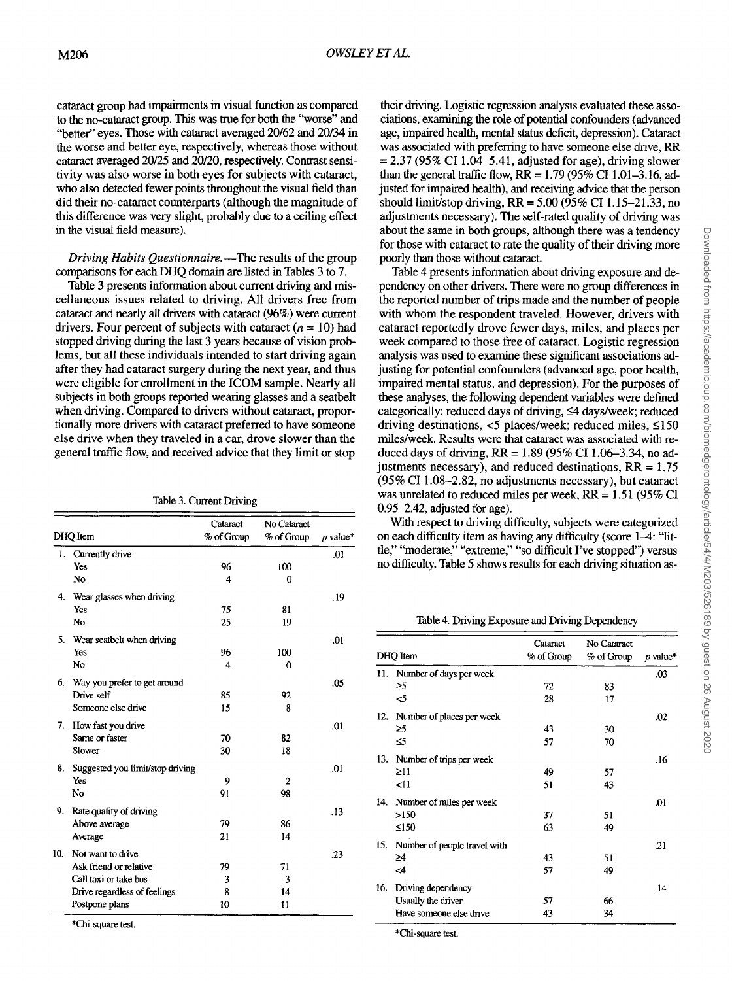cataract group had impairments in visual function as compared to the no-cataract group. This was true for both the "worse" and "better" eyes. Those with cataract averaged 20/62 and 20/34 in the worse and better eye, respectively, whereas those without cataract averaged 20125 and 20120, respectively, Contrast sensitivity was also worse in both eyes for subjects with cataract, who also detected fewer points throughout the visual field than did their no-cataract counterparts (although the magnitude of this difference was very slight, probably due to a ceiling effect in the visual field measure).

*Driving Habits Questionnaire*.—The results of the group comparisons for each DHQ domain are listed in Tables 3 to 7.

Table 3 presents information about current driving and miscellaneous issues related to driving. All drivers free from cataract and nearly all drivers with cataract (96%) were current drivers. Four percent of subjects with cataract  $(n = 10)$  had stopped driving during the last 3 years because of vision problems, but all these individuals intended to start driving again after they had cataract surgery during the next year, and thus were eligible for enrollment in the ICOM sample. Nearly all subjects in both groups reported wearing glasses and a seatbelt when driving. Compared to drivers without cataract, proportionally more drivers with cataract preferred to have someone else drive when they traveled in a car, drove slower than the general traffic flow, and received advice that they limit or stop

|  |  | Table 3. Current Driving |
|--|--|--------------------------|
|--|--|--------------------------|

|     |                                                                                                                        | Cataract           | No Cataract          |            |
|-----|------------------------------------------------------------------------------------------------------------------------|--------------------|----------------------|------------|
|     | DHQ Item                                                                                                               | % of Group         | $%$ of Group         | $p$ value* |
|     | 1. Currently drive<br>Yes<br>N <sub>0</sub>                                                                            | 96<br>4            | 100<br>0             | .01        |
|     | 4. Wear glasses when driving<br>Yes<br>No                                                                              | 75<br>25           | 81<br>19             | .19        |
| 5.  | Wear seatbelt when driving<br>Yes<br>No                                                                                | 96<br>4            | 100<br>0             | .01        |
| 6.  | Way you prefer to get around<br>Drive self<br>Someone else drive                                                       | 85<br>15           | 92<br>8              | .05        |
| 7.  | How fast you drive<br>Same or faster<br>Slower                                                                         | 70<br>30           | 82<br>18             | .01        |
| 8.  | Suggested you limit/stop driving<br>Yes<br>No                                                                          | 9<br>91            | $\overline{2}$<br>98 | .01        |
| 9.  | Rate quality of driving<br>Above average<br>Average                                                                    | 79<br>21           | 86<br>14             | .13        |
| 10. | Not want to drive<br>Ask friend or relative<br>Call taxi or take bus<br>Drive regardless of feelings<br>Postpone plans | 79<br>3<br>8<br>10 | 71<br>3<br>14<br>11  | .23        |

\*Chi-square test.

their driving. Logistic regression analysis evaluated these associations, examining the role of potential confounders (advanced age, impaired health, mental status deficit, depression). Cataract was associated with preferring to have someone else drive, RR  $=$  2.37 (95% CI 1.04–5.41, adjusted for age), driving slower than the general traffic flow,  $RR = 1.79$  (95% CI 1.01-3.16, adjusted for impaired health), and receiving advice that the person should limit/stop driving, RR = 5.00 (95% CI 1.15-21.33, no adjustments necessary). The self-rated quality of driving was about the same in both groups, although there was a tendency for those with cataract to rate the quality of their driving more poorly than those without cataract.

Table 4 presents information about driving exposure and dependency on other drivers. There were no group differences in the reported number of trips made and the number of people with whom the respondent traveled. However, drivers with cataract reportedly drove fewer days, miles, and places per week compared to those free of cataract. Logistic regression analysis was used to examine these significant associations adjusting for potential confounders (advanced age, poor health, impaired mental status, and depression). For the purposes of these analyses, the following dependent variables were defined categorically: reduced days of driving,  $\leq 4$  days/week; reduced driving destinations,  $\leq$ 5 places/week; reduced miles,  $\leq$ 150 miles/week. Results were that cataract was associated with reduced days of driving,  $RR = 1.89$  (95% CI 1.06–3.34, no adjustments necessary), and reduced destinations,  $RR = 1.75$ (95% CI 1.08-2.82, no adjustments necessary), but cataract was unrelated to reduced miles per week, RR = 1.51 (95% CI 0.95-2.42, adjusted for age).

With respect to driving difficulty, subjects were categorized on each difficulty item as having any difficulty (score 1-4: "little," "moderate," "extreme," "so difficult I've stopped") versus no difficulty. Table 5 shows results for each driving situation as-

#### Table 4. Driving Exposure and Driving Dependency

| DHQ Item                            | Cataract<br>% of Group | No Cataract<br>% of Group | $p$ value* |
|-------------------------------------|------------------------|---------------------------|------------|
| 11. Number of days per week         |                        |                           | .03        |
| ≥5                                  | 72                     | 83                        |            |
| -5                                  | 28                     | 17                        |            |
| Number of places per week<br>12.    |                        |                           | .02        |
| ≥5                                  | 43                     | 30                        |            |
| ≤5                                  | 57                     | 70                        |            |
| 13.<br>Number of trips per week     |                        |                           | .16        |
| >11                                 | 49                     | 57                        |            |
| <11                                 | 51                     | 43                        |            |
| 14.<br>Number of miles per week     |                        |                           | .01        |
| >150                                | 37                     | 51                        |            |
| $\leq 150$                          | 63                     | 49                        |            |
| 15.<br>Number of people travel with |                        |                           | .21        |
| ≥4                                  | 43                     | 51                        |            |
| <4                                  | 57                     | 49                        |            |
| 16.<br>Driving dependency           |                        |                           | .14        |
| Usually the driver                  | 57                     | 66                        |            |
| Have someone else drive             | 43                     | 34                        |            |

\*Chi-square test.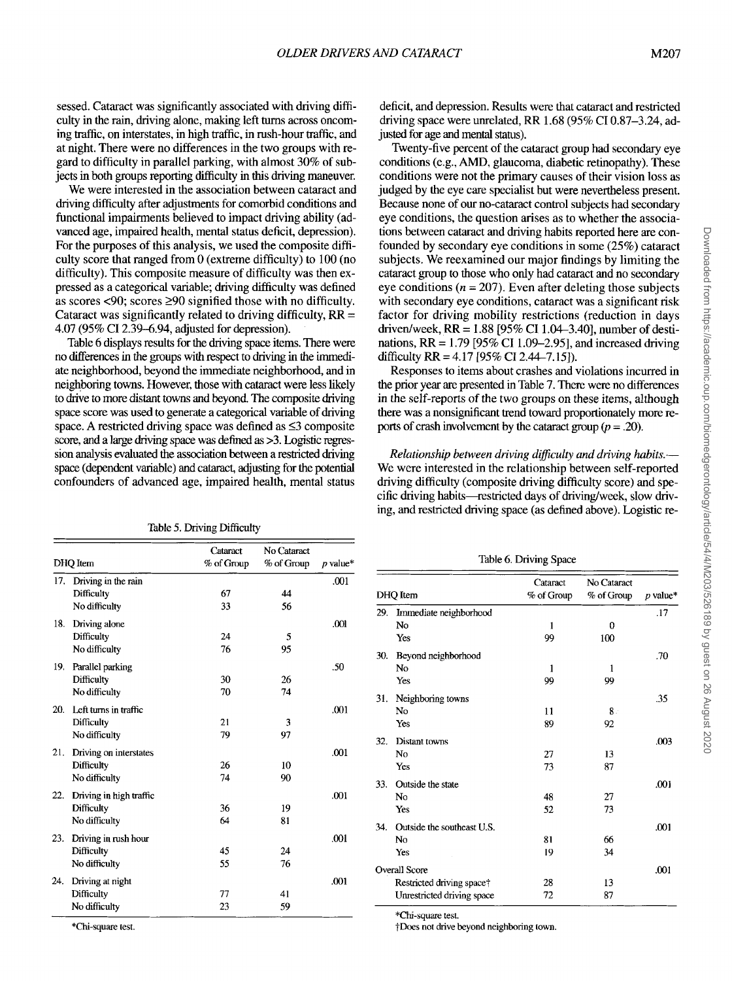sessed. Cataract was significantly associated with driving difficulty in the rain, driving alone, making left turns across oncoming traffic, on interstates, in high traffic, in rush-hour traffic, and at night. There were no differences in the two groups with regard to difficulty in parallel parking, with almost 30% of subjects in both groups reporting difficulty in this driving maneuver.

We were interested in the association between cataract and driving difficulty after adjustments for comorbid conditions and functional impairments believed to impact driving ability (advanced age, impaired health, mental status deficit, depression). For the purposes of this analysis, we used the composite difficulty score that ranged from 0 (extreme difficulty) to 100 (no difficulty). This composite measure of difficulty was then expressed as a categorical variable; driving difficulty was defined as scores  $<90$ ; scores  $\geq$ 90 signified those with no difficulty. Cataract was significantly related to driving difficulty,  $RR =$ 4.07 (95% CI 2.39–6.94, adjusted for depression).

Table 6 displays results for the driving space items. There were no differences in the groups with respect to driving in the immediate neighborhood, beyond the immediate neighborhood, and in neighboring towns. However, those with cataract were less likely to drive to more distant towns and beyond. The composite driving space score was used to generate a categorical variable of driving space. A restricted driving space was defined as  $\leq$ 3 composite score, and a large driving space was defined as >3. Logistic regression analysis evaluated the association between a restricted driving space (dependent variable) and cataract, adjusting for the potential confounders of advanced age, impaired health, mental status

| deficit, and depression. Results were that cataract and restricted |
|--------------------------------------------------------------------|
| driving space were unrelated, RR $1.68$ (95% CI 0.87–3.24, ad-     |
| justed for age and mental status).                                 |

Twenty-five percent of the cataract group had secondary eye conditions (e.g.,AMD, glaucoma, diabetic retinopathy).These conditions were not the primary causes of their vision loss as judged by the eye care specialist but were nevertheless present. Because none of our no-cataract control subjects had secondary eye conditions, the question arises as to whether the associations between cataract and driving habits reported here are confounded by secondary eye conditions in some (25%) cataract subjects. We reexamined our major findings by limiting the cataract group to those who only had cataract and no secondary eye conditions ( $n = 207$ ). Even after deleting those subjects with secondary eye conditions, cataract was a significant risk factor for driving mobility restrictions (reduction in days driven/week,  $RR = 1.88$  [95% CI 1.04-3.40], number of destinations,  $RR = 1.79$  [95% CI 1.09–2.95], and increased driving difficulty RR = 4.17 [95% CI 2.44-7.15]).

Responses to items about crashes and violations incurred in the prior year are presented in Table 7. There were no in the self-reports of the two groups on these items there was a nonsignificant trend toward proportionate ports of crash involvement by the cataract group ( $p = 0$ .

*Relationship between driving difficulty and driving habits.-* We were interested in the relationship between selfdriving difficulty (composite driving difficulty score cific driving habits—restricted days of driving/week. ing, and restricted driving space (as defined above). I

| differences<br>s, although<br>$y$ more re-<br>20).                     |
|------------------------------------------------------------------------|
| g habits.—<br>lf-reported<br>e) and spe-<br>slow driv-<br>Logistic re- |
| ct                                                                     |
| $p$ value*<br>ıp.                                                      |
| $\overline{.17}$                                                       |
| .70                                                                    |
| 35                                                                     |
| .003                                                                   |
| .001                                                                   |
| .001                                                                   |
|                                                                        |

| DHQ Item |                         | Cataract<br>% of Group | No Cataract<br>% of Group | $p$ value* |                                   | Table 6. Driving Space |             |
|----------|-------------------------|------------------------|---------------------------|------------|-----------------------------------|------------------------|-------------|
| 17.      | Driving in the rain     |                        |                           | .001       |                                   | Cataract               | No Cataract |
|          | Difficulty              | 67                     | 44                        |            | DHQ Item                          | % of Group             | % of Group  |
|          | No difficulty           | 33                     | 56                        |            | Immediate neighborhood<br>29.     |                        |             |
| 18.      | Driving alone           |                        |                           | .001       | No                                | 1                      | 0           |
|          | Difficulty              | 24                     | 5                         |            | Yes                               | 99                     | 100         |
|          | No difficulty           | 76                     | 95                        |            |                                   |                        |             |
|          |                         |                        |                           |            | Beyond neighborhood<br>30.        |                        |             |
| 19.      | Parallel parking        |                        |                           | .50        | No                                | 1                      | 1           |
|          | Difficulty              | 30                     | 26                        |            | Yes                               | 99                     | 99          |
|          | No difficulty           | 70                     | 74                        |            | Neighboring towns<br>31.          |                        |             |
| 20.      | Left turns in traffic   |                        |                           | .001       | No                                | 11                     | 8.          |
|          | Difficulty              | 21                     | 3                         |            | Yes                               | 89                     | 92          |
|          | No difficulty           | 79                     | 97                        |            | Distant towns<br>32.              |                        |             |
| 21.      | Driving on interstates  |                        |                           | .001       | No                                |                        | 13          |
|          | <b>Difficulty</b>       | 26                     | 10                        |            |                                   | 27                     |             |
|          |                         |                        |                           |            | Yes                               | 73                     | 87          |
|          | No difficulty           | 74                     | 90                        |            | Outside the state<br>33.          |                        |             |
| 22.      | Driving in high traffic |                        |                           | .001       | No                                | 48                     | 27          |
|          | Difficulty              | 36                     | 19                        |            | Yes                               | 52                     | 73          |
|          | No difficulty           | 64                     | 81                        |            | Outside the southeast U.S.<br>34. |                        |             |
| 23.      | Driving in rush hour    |                        |                           | .001       | No                                | 81                     | 66          |
|          | Difficulty              | 45                     | 24                        |            | Yes                               | 19                     | 34          |
|          | No difficulty           | 55                     | 76                        |            |                                   |                        |             |
|          |                         |                        |                           |            | <b>Overall Score</b>              |                        |             |
| 24.      | Driving at night        |                        |                           | .001       | Restricted driving space†         | 28                     | 13          |
|          | Difficulty              | 77                     | 41                        |            | Unrestricted driving space        | 72                     | 87          |
|          | No difficulty           | 23                     | 59                        |            |                                   |                        |             |

Table 5. Driving Difficulty

| Driving in the rain     |    |    | .001 |     |                                       | Cataract   | No Cataract |            |
|-------------------------|----|----|------|-----|---------------------------------------|------------|-------------|------------|
| Difficulty              | 67 | 44 |      |     | DHQ Item                              | % of Group | % of Group  | $p$ value* |
| No difficulty           | 33 | 56 |      | 29. | Immediate neighborhood                |            |             | .17        |
| Driving alone           |    |    | .001 |     | No                                    |            | 0           |            |
| Difficulty              | 24 | 5  |      |     | Yes                                   | 99         | 100         |            |
| No difficulty           | 76 | 95 |      | 30. | Beyond neighborhood                   |            |             | .70        |
| Parallel parking        |    |    | .50  |     | N <sub>0</sub>                        |            | 1           |            |
| Difficulty              | 30 | 26 |      |     | Yes                                   | 99         | 99          |            |
| No difficulty           | 70 | 74 |      | 31. | Neighboring towns                     |            |             | .35        |
| Left turns in traffic   |    |    | .001 |     | No                                    | 11         | 8.          |            |
| Difficulty              | 21 | 3  |      |     | Yes                                   | 89         | 92          |            |
| No difficulty           | 79 | 97 |      | 32. | Distant towns                         |            |             | .003       |
| Driving on interstates  |    |    | .001 |     | No                                    | 27         | 13          |            |
| Difficulty              | 26 | 10 |      |     | Yes                                   | 73         | 87          |            |
| No difficulty           | 74 | 90 |      | 33. | Outside the state                     |            |             | .001       |
| Driving in high traffic |    |    | .001 |     | No                                    | 48         | 27          |            |
| <b>Difficulty</b>       | 36 | 19 |      |     | Yes                                   | 52         | 73          |            |
| No difficulty           | 64 | 81 |      | 34. | Outside the southeast U.S.            |            |             | .001       |
| Driving in rush hour    |    |    | .001 |     | No                                    | 81         | 66          |            |
| Difficulty              | 45 | 24 |      |     | Yes                                   | 19         | 34          |            |
| No difficulty           | 55 | 76 |      |     | Overall Score                         |            |             | .001       |
| Driving at night        |    |    | .001 |     | Restricted driving space <sup>+</sup> | 28         | 13          |            |
| Difficulty              | 77 | 41 |      |     | Unrestricted driving space            | 72         | 87          |            |
| No difficulty           | 23 | 59 |      |     |                                       |            |             |            |

\*Chi-square test.

\*Chi-squaretest. tDoes not drivebeyond neighboring town.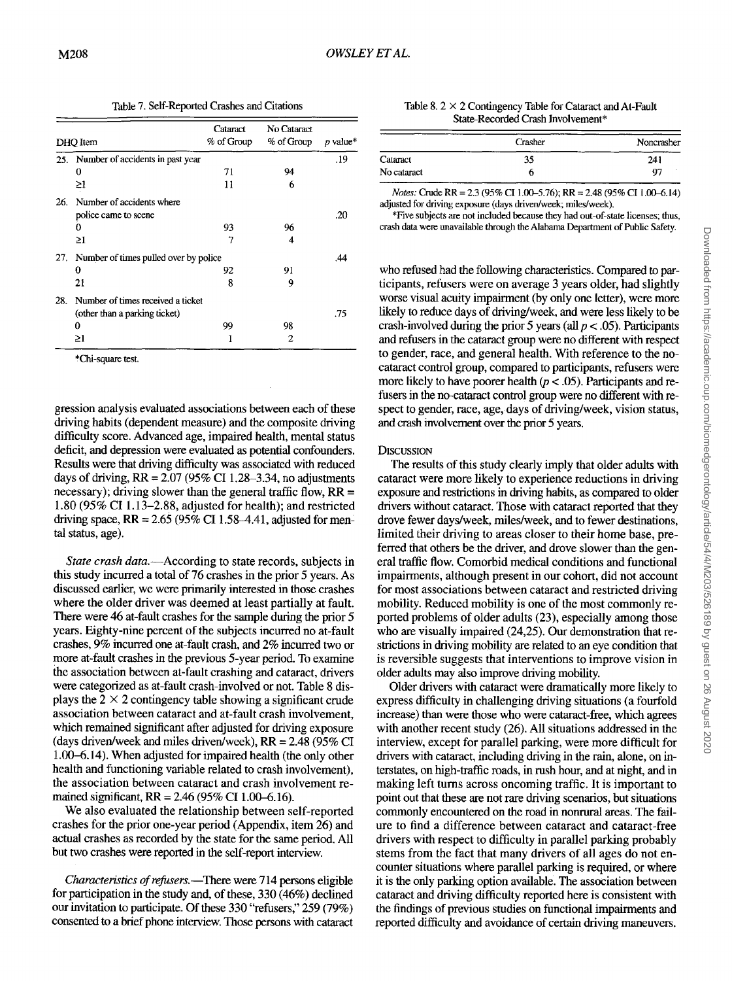|     | DHQ Item                              | Cataract<br>% of Group | No Cataract<br>% of Group | $p$ value* |
|-----|---------------------------------------|------------------------|---------------------------|------------|
|     | 25. Number of accidents in past year  |                        |                           | .19        |
|     | 0                                     | 71                     | 94                        |            |
|     | ≥1                                    | 11                     | 6                         |            |
| 26. | Number of accidents where             |                        |                           |            |
|     | police came to scene                  |                        |                           | .20        |
|     | o                                     | 93                     | 96                        |            |
|     | ≥1                                    | 7                      | 4                         |            |
| 27. | Number of times pulled over by police |                        |                           |            |
|     | 0                                     | 92                     | 91                        |            |
|     | 21                                    | 8                      | 9                         |            |
| 28. | Number of times received a ticket     |                        |                           |            |
|     | (other than a parking ticket)         |                        |                           | .75        |
|     | 0                                     | 99                     | 98                        |            |
|     | ≥1                                    |                        | 2                         |            |

\*Chi-square test.

gression analysis evaluated associations between each of these driving habits (dependent measure) and the composite driving difficulty score. Advanced age, impaired health, mental status deficit, and depression were evaluated as potential confounders. Results were that driving difficulty was associated with reduced days of driving,  $RR = 2.07$  (95% CI 1.28-3.34, no adjustments necessary); driving slower than the general traffic flow,  $RR =$ 1.80 (95% CI 1.13-2.88, adjusted for health); and restricted driving space,  $RR = 2.65$  (95% CI 1.58-4.41, adjusted for mental status, age).

*State crash data.-According* to state records, subjects in this study incurred a total of 76 crashes in the prior 5 years. As discussed earlier, we were primarily interested in those crashes where the older driver was deemed at least partially at fault. There were 46 at-fault crashes for the sample during the prior 5 years. Eighty-nine percent of the subjects incurred no at-fault crashes, 9% incurred one at-fault crash, and 2% incurred two or more at-fault crashes in the previous 5-year period. To examine the association between at-fault crashing and cataract, drivers were categorized as at-fault crash-involved or not. Table 8 displays the  $2 \times 2$  contingency table showing a significant crude association between cataract and at-fault crash involvement, which remained significant after adjusted for driving exposure (days driven/week and miles driven/week), RR = 2.48 (95% CI 1.00-6.14). When adjusted for impaired health (the only other health and functioning variable related to crash involvement), the association between cataract and crash involvement remained significant, RR = 2.46 (95% CI 1.00–6.16).

We also evaluated the relationship between self-reported crashes for the prior one-year period (Appendix, item 26) and actual crashes as recorded by the state for the same period. All but two crashes were reported in the self-report interview.

*Characteristics of refusers.*—There were 714 persons eligible for participation in the study and, of these,  $330 (46%)$  declined our invitation to participate. Of these 330 "refusers," 259 (79%) consented to a brief phone interview.Those persons with cataract

Table 7. Self-Reported Crashes and Citations Table 8.2  $\times$  2 Contingency Table for Cataract and At-Fault State-Recorded Crash Involvement\*

| - Undergroup | 110 CAMAGO<br>% of Group % of Group p value* |     |             | Crasher | Noncrasher |
|--------------|----------------------------------------------|-----|-------------|---------|------------|
|              |                                              | .19 | Cataract    | 35      | 241        |
|              | 94                                           |     | No cataract |         | 07         |
| 11           |                                              |     |             | ____    |            |

*Notes:* Crude RR = 2.3 (95% CI 1.00–5.76); RR = 2.48 (95% CI 1.00–6.14) adjusted for driving exposure (days driven/week; miles/week).

\*Fivesubjectsare not included because they had out-of-statelicenses;thus, crash data were unavailable through the Alabama Department of Public Safety.

who refused had the following characteristics. Compared to participants, refusers were on average 3 years older, had slightly worse visual acuity impairment (by only one letter), were more likely to reduce days of driving/week, and were less likely to be crash-involved during the prior 5 years (all  $p < .05$ ). Participants and refusers in the cataract group were no different with respect to gender, race, and general health. With reference to the nocataract control group, compared to participants, refusers were more likely to have poorer health ( $p < .05$ ). Participants and refusers in the no-cataract control group were no different with respect to gender, race, age, days of driving/week, vision status, and crash involvement over the prior 5 years.

#### **DISCUSSION**

The results of this study clearly imply that older adults with cataract were more likely to experience reductions in driving exposure and restrictions in driving habits, as compared to older drivers without cataract. Those with cataract reported that they drove fewer days/week, miles/week, and to fewer destinations, limited their driving to areas closer to their home base, preferred that others be the driver, and drove slower than the general traffic flow. Comorbid medical conditions and functional impairments, although present in our cohort, did not account for most associations between cataract and restricted driving mobility. Reduced mobility is one of the most commonly reported problems of older adults (23), especially among those who are visually impaired (24,25). Our demonstration that restrictions in driving mobility are related to an eye condition that is reversible suggests that interventions to improve vision in older adults may also improve driving mobility.

Older drivers with cataract were dramatically more likely to express difficulty in challenging driving situations (a fourfold increase) than were those who were cataract-free, which agrees with another recent study (26). All situations addressed in the interview, except for parallel parking, were more difficult for drivers with cataract, including driving in the rain, alone, on interstates, on high-traffic roads, in rush hour, and at night, and in making left turns across oncoming traffic. It is important to point out that these are not rare driving scenarios, but situations commonly encountered on the road in nonrural areas. The failure to find a difference between cataract and cataract-free drivers with respect to difficulty in parallel parking probably stems from the fact that many drivers of all ages do not encounter situations where parallel parking is required, or where it is the only parking option available. The association between cataract and driving difficulty reported here is consistent with the findings of previous studies on functional impairments and reported difficulty and avoidance of certain driving maneuvers.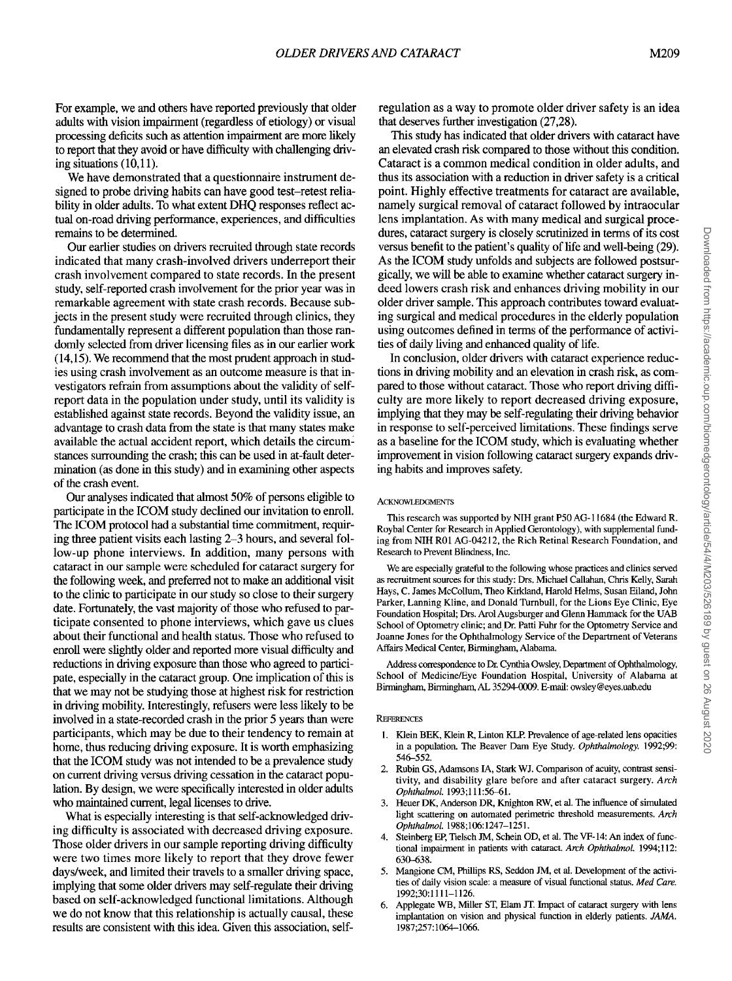For example, we and others have reported previously that older adults with vision impairment (regardless of etiology) or visual processing deficits such as attention impairment are more likely to report that they avoid or have difficulty with challenging driving situations (10,11).

We have demonstrated that a questionnaire instrument designed to probe driving habits can have good test-retest reliability in older adults. To what extent DHQ responses reflect actual on-road driving performance, experiences, and difficulties remains to be determined.

Our earlier studies on drivers recruited through state records indicated that many crash-involved drivers underreport their crash involvement compared to state records. In the present study, self-reported crash involvement for the prior year was in remarkable agreement with state crash records. Because subjects in the present study were recruited through clinics, they fundamentally represent a different population than those randomly selected from driver licensing files as in our earlier work (14,15). We recommend that the most prudent approach in studies using crash involvement as an outcome measure is that investigators refrain from assumptions about the validity of selfreport data in the population under study, until its validity is established against state records. Beyond the validity issue, an advantage to crash data from the state is that many states make available the actual accident report, which details the circumstances surrounding the crash; this can be used in at-fault determination (as done in this study) and in examining other aspects of the crash event.

Our analyses indicated that almost 50% of persons eligible to participate in the ICOM study declined our invitation to enroll. The ICOM protocol had a substantial time commitment, requiring three patient visits each lasting 2-3 hours, and several follow-up phone interviews. In addition, many persons with cataract in our sample were scheduled for cataract surgery for the following week, and preferred not to make an additional visit to the clinic to participate in our study so close to their surgery date. Fortunately, the vast majority of those who refused to participate consented to phone interviews, which gave us clues about their functional and health status. Those who refused to enroll were slightly older and reported more visual difficulty and reductions in driving exposure than those who agreed to participate, especially in the cataract group. One implication of this is that we may not be studying those at highest risk for restriction in driving mobility. Interestingly, refusers were less likely to be involved in a state-recorded crash in the prior 5 years than were participants, which may be due to their tendency to remain at home, thus reducing driving exposure. It is worth emphasizing that the ICOM study was not intended to be a prevalence study on current driving versus driving cessation in the cataract population. By design, we were specifically interested in older adults who maintained current, legal licenses to drive.

What is especially interesting is that self-acknowledged driving difficulty is associated with decreased driving exposure. Those older drivers in our sample reporting driving difficulty were two times more likely to report that they drove fewer days/week, and limited their travels to a smaller driving space, implying that some older drivers may self-regulate their driving based on self-acknowledged functional limitations. Although we do not know that this relationship is actually causal, these results are consistent with this idea. Given this association, selfregulation as a way to promote older driver safety is an idea that deserves further investigation (27,28).

This study has indicated that older drivers with cataract have an elevated crash risk compared to those without this condition. Cataract is a common medical condition in older adults, and thus its association with a reduction in driver safety is a critical point. Highly effective treatments for cataract are available, namely surgical removal of cataract followed by intraocular lens implantation. As with many medical and surgical procedures, cataract surgery is closely scrutinized in terms of its cost versus benefit to the patient's quality of life and well-being (29). As the ICOM study unfolds and subjects are followed postsurgically, we will be able to examine whether cataract surgery indeed lowers crash risk and enhances driving mobility in our older driver sample. This approach contributes toward evaluating surgical and medical procedures in the elderly population using outcomes defined in terms of the performance of activities of daily living and enhanced quality of life.

In conclusion, older drivers with cataract experience reductions in driving mobility and an elevation in crash risk, as compared to those without cataract. Those who report driving difficulty are more likely to report decreased driving exposure, implying that they may be self-regulating their driving behavior in response to self-perceived limitations. These findings serve as a baseline for the ICOM study, which is evaluating whether improvement in vision following cataract surgery expands driving habits and improves safety.

#### ACKNOWLEDGMENTS

This research was supported by NIH grant P50 AG-11684 (the Edward R. Roybal Center for Research in Applied Gerontology), with supplemental funding from NIH ROI AG-04212, the Rich Retinal Research Foundation, and Research to Prevent Blindness, Inc.

We are especially grateful to the following whose practices and clinics served as recruitment sources for this study: Drs. Michael Callahan, Chris Kelly, Sarah Hays, C. James McCollum, Theo Kirkland, Harold Helms, Susan Eiland, John Parker, Lanning Kline, and Donald Turnbull, for the Lions Eye Clinic, Eye Foundation Hospital; Drs. Arol Augsburger and Glenn Hammack for the UAB School of Optometry clinic; and Dr. Patti Fuhr for the Optometry Service and Joanne Jones for the Ophthalmology Service of the Department of Veterans Affairs Medical Center, Birmingham, Alabama.

Address correspondence to Dr. Cynthia Owsley, Department of Ophthalmology, School of Medicine/Eye Foundation Hospital, University of Alabama at Birmingham, Birmingham, AL 35294-0009. E-mail: owsley@eyes.uab.edu

#### **REFERENCES**

- 1. Klein BEK, Klein R, Linton KLP. Prevalence of age-related lens opacities in a population. The Beaver Dam Eye Study. *Ophthalmology. 1992;99:* 546-552.
- 2. Rubin GS, Adamsons IA, Stark *WI.* Comparison of acuity, contrast sensitivity, and disability glare before and after cataract surgery. *Arch Ophthalmol. 1993;111:56-61.*
- 3. Heuer DK, Anderson DR, Knighton RW, et al. The influence of simulated light scattering on automated perimetric threshold measurements. *Arch Ophthalmol. 1988;106:1247-1251.*
- 4. Steinberg EP, Tielsch JM, Schein OD, et aI.The VF-14: An index of functional impairment in patients with cataract. *Arch Ophthalmol. 1994;112:* 630-638.
- 5. Mangione CM, Phillips RS, Seddon JM, et al. Development of the activities of daily vision scale: a measure of visual functional status. *Med Care.* 1992;30:1111-1126.
- 6. Applegate WB, Miller ST, Elam IT. Impact of cataract surgery with lens implantation on vision and physical function in elderly patients. *lAMA.* 1987;257:1064-1066.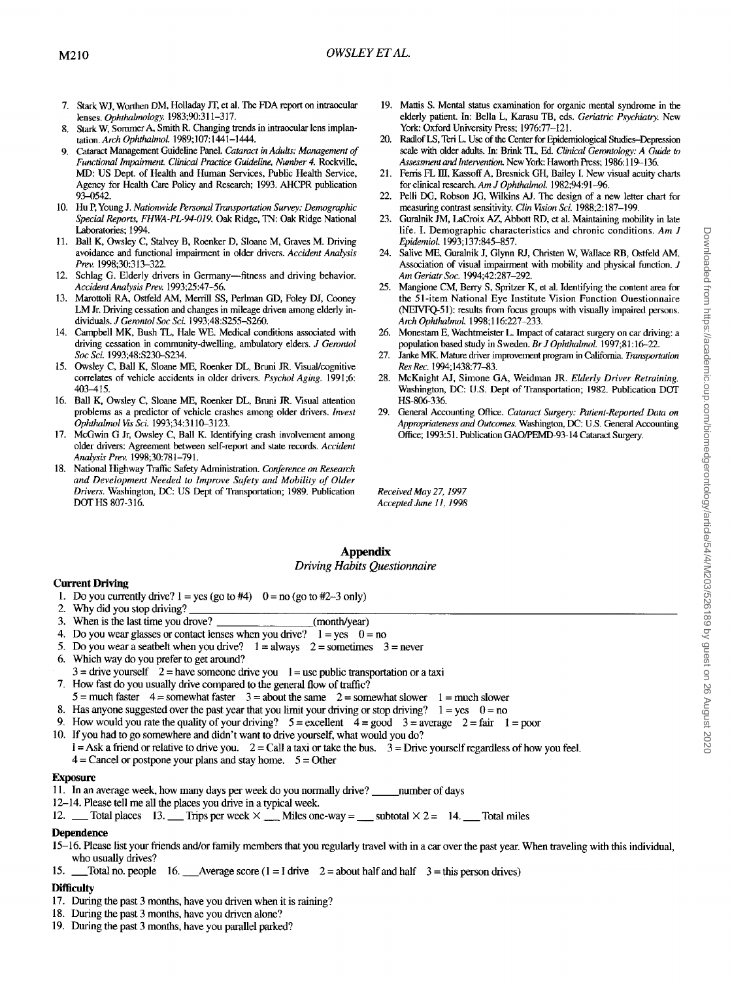- 7. Stark WJ, Worthen DM, Holladay IT, et al. The FDA report on intraocular lenses. *Ophthalmology. 1983;90:311-317.*
- 8. Stark W, Sommer A, Smith R. Changing trends in intraocular lens implan*tation.ArchOphthalmol. 1989;107:1441-1444.*
- 9. Cataract Management Guideline Panel. *Cataract in Adults: Management of Functional Impairment. Clinical Practice Guideline, Number*4. Rockville, MD: US Dept. of Health and Human Services, Public Health Service, Agency for Health Care Policy and Research; 1993. AHCPR publication 93-0542.
- 10. Hu P,Young J. *Nationwide Personal Transportation Survey: Demographic* Special Reports, FHWA-PL-94-019. Oak Ridge, TN: Oak Ridge National Laboratories; 1994.
- 11. Ball K, Owsley C, Stalvey B, Roenker D, Sloane M, Graves M. Driving avoidance and functional impairment in older drivers. *Accident Analysis Prev.* 1998;30:313-322.
- 12. Schlag G. Elderly drivers in Germany-fitness and driving behavior. *AccidentAnalysisPrevo 1993;25:47-56.*
- 13. Marottoli RA, Ostfeld AM, Merrill SS, Perlman GD, Foley DJ, Cooney LM Jr. Driving cessation and changes in mileage driven among elderly individuals. *J Gerontol SocSci.* 1993;48:S255-S260.
- 14. Campbell MK, Bush TL, Hale WE. Medical conditions associated with driving cessation in community-dwelling, ambulatory elders. *J Gerontol Soc Sci.* 1993;48:S230-S234.
- 15. Owsley C, Ball K, Sloane ME, Roenker DL, Bruni JR. Visual/cognitive correlates of vehicle accidents in older drivers. *Psychol Aging.* 1991;6: 403-415.
- 16. Ball K, Owsley C, Sloane ME, Roenker DL, Bruni JR. Visual attention problems as a predictor of vehicle crashes among older drivers. *Invest OphthalmolVisSci. 1993;34:3110-3123.*
- 17. McGwin G Jr, Owsley C, Ball K. Identifying crash involvement among older drivers: Agreement between self-report and state records. *Accident AnalysisPrev. 1998;30:781-791.*
- 18. National Highway Traffic Safety Administration. *Conference on Research and Development Needed to Improve Safety and Mobility of Older Drivers.* Washington, DC: US Dept of Transportation; 1989. Publication DOT HS 807-316.
- 19. Mattis S. Mental status examination for organic mental syndrome in the elderly patient. In: Bella L, Karasu TB, eds. *Geriatric Psychiatry.* New York: Oxford University Press; 1976:77-121.
- 20. Radlof LS, Ten L. Use of the Center for Epidemiological Studies-Depression scale with older adults. In: Brink TL, Ed. *Clinical Gerontology: A Guideto* Assessment and *Intervention*. New York: Haworth Press; 1986:119-136.
- 21. Ferris FL III, Kassoff A, Bresnick GH, Bailey I. New visual acuity charts for clinical research. *Am J Ophthalmol. 1982;94:91-96.*
- 22. Pelli 00, Robson JG, Wilkins AI. The design of a new letter chart for measuring contrast sensitivity. *ClinVision* Sci. 1988;2:187-199.
- 23. Guralnik JM, LaCroix AZ, Abbott RD, et al. Maintaining mobility in late life. 1. Demographic characteristics and chronic conditions. *Am* J *Epidemiol. 1993;137:845-857.*
- 24. Salive ME, Guralnik J, Glynn RJ, Christen W, Wallace RE, Ostfeld AM. Association of visual impairment with mobility and physical function. J *Am GeriatrSoc. 1994;42:287-292.*
- 25. Mangione CM, Berry S, Spritzer K, et al. Identifying the content area for the 51-item National Eye Institute Vision Function Ouestionnaire (NEIVFQ-5l): results from focus groups with visually impaired persons. *ArchOphthalmol. 1998;116:227-233.*
- 26. Monestam E, Wachtrneister L. Impact of cataract surgery on car driving: a population based study in Sweden. *Br J Ophthalmol.* 1997:81:16-22.
- 27. Janke MK. Mature driver improvement program in California *Transportation ResRec.1994;1438:77--83.*
- 28. McKnight AJ, Simone GA, Weidman JR. *Elderly Driver Retraining.* Washington, DC: U.S. Dept of Transportation; 1982. Publication DOT HS-806-336.
- 29. General Accounting Office. *Cataract Surgery: Patient-Reported Data on Appropriateness* and*Outcomes.* Washington, OC: U.S. General Accounting Office; 1993:51. Publication GAO/PEMD-93-14 Cataract Surgery.

*ReceivedMay* 27, 1997 *AcceptedJune* 11, 1998

#### **Appendix** *DrivingHabits Questionnaire*

## **Current Driving**

- 1. Do you currently drive?  $1 = yes$  (go to #4)  $0 = no$  (go to #2-3 only)
- 2. Why did you stop driving? \_
- 3. When is the last time you drove? (month/year)
- 4. Do you wear glasses or contact lenses when you drive?  $1 = yes \quad 0 = no$
- 5. Do you wear a seatbelt when you drive?  $1 =$  always  $2 =$  sometimes  $3 =$  never
- 6. Which way do you prefer to get around?
- $3 =$  drive yourself  $2 =$  have someone drive you  $1 =$  use public transportation or a taxi
- 7. How fast do you usually drive compared to the general flow of traffic?
- $5 =$  much faster  $4 =$  somewhat faster  $3 =$  about the same  $2 =$  somewhat slower  $1 =$  much slower
- 8. Has anyone suggested over the past year that you limit your driving or stop driving?  $1 = yes$  0 = no
- 9. How would you rate the quality of your driving?  $5 =$  excellent  $4 =$  good  $3 =$  average  $2 =$  fair  $1 =$  poor
- 10. If you had to go somewhere and didn't want to drive yourself, what would you do?
- $1 = Ask$  a friend or relative to drive you.  $2 = Cal$  a taxi or take the bus.  $3 = Diric$  yourself regardless of how you feel.  $4 =$  Cancel or postpone your plans and stay home.  $5 =$  Other

#### **Exposure**

- 11. In an average week, how many days per week do you normally drive? \_\_number of days
- 12-14. Please tell me all the places you drive in a typical week.
- 12.  $\Box$  Total places 13.  $\Box$  Trips per week  $\times$   $\Box$  Miles one-way =  $\Box$  subtotal  $\times$  2 = 14.  $\Box$  Total miles

#### **Dependence**

- 15-16. Please list your friends and/or family members that you regularly travel with in a car over the past year.When traveling with this individual, who usually drives?
- 15. \_\_Total no. people 16. \_\_Average score ( $l = I$  drive  $2 =$  about half and half  $3 =$  this person drives)

# **Difficulty**

- 17. During the past 3 months, have you driven when it is raining?
- 18. During the past 3 months, have you driven alone?
- 19. During the past 3 months, have you parallel parked?